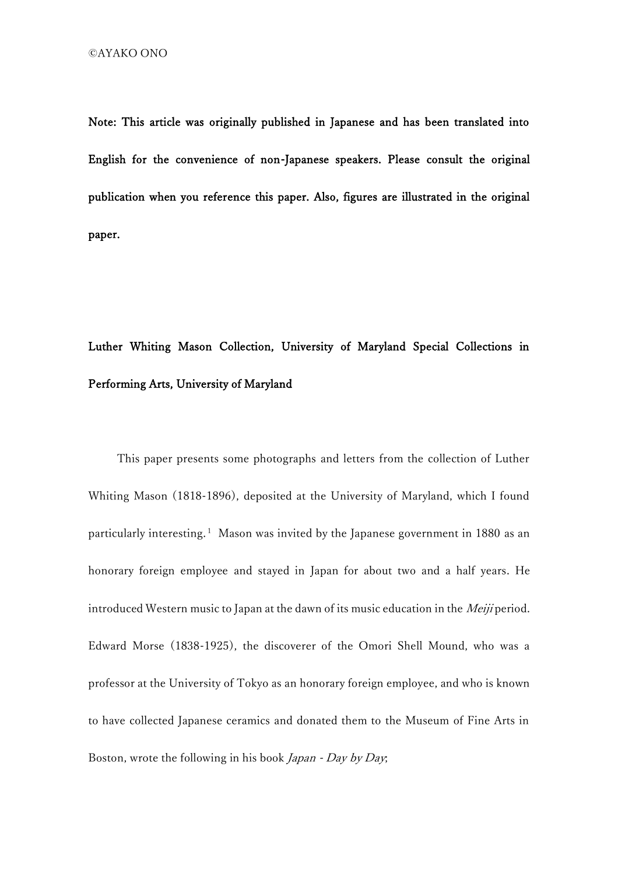Note: This article was originally published in Japanese and has been translated into English for the convenience of non-Japanese speakers. Please consult the original publication when you reference this paper. Also, figures are illustrated in the original paper.

## Luther Whiting Mason Collection, University of Maryland Special Collections in Performing Arts, University of Maryland

This paper presents some photographs and letters from the collection of Luther Whiting Mason (1818-1896), deposited at the University of Maryland, which I found particularly interesting.<sup>1</sup> Mason was invited by the Japanese government in 1880 as an honorary foreign employee and stayed in Japan for about two and a half years. He introduced Western music to Japan at the dawn of its music education in the *Meiji* period. Edward Morse (1838-1925), the discoverer of the Omori Shell Mound, who was a professor at the University of Tokyo as an honorary foreign employee, and who is known to have collected Japanese ceramics and donated them to the Museum of Fine Arts in Boston, wrote the following in his book Japan - Day by Day;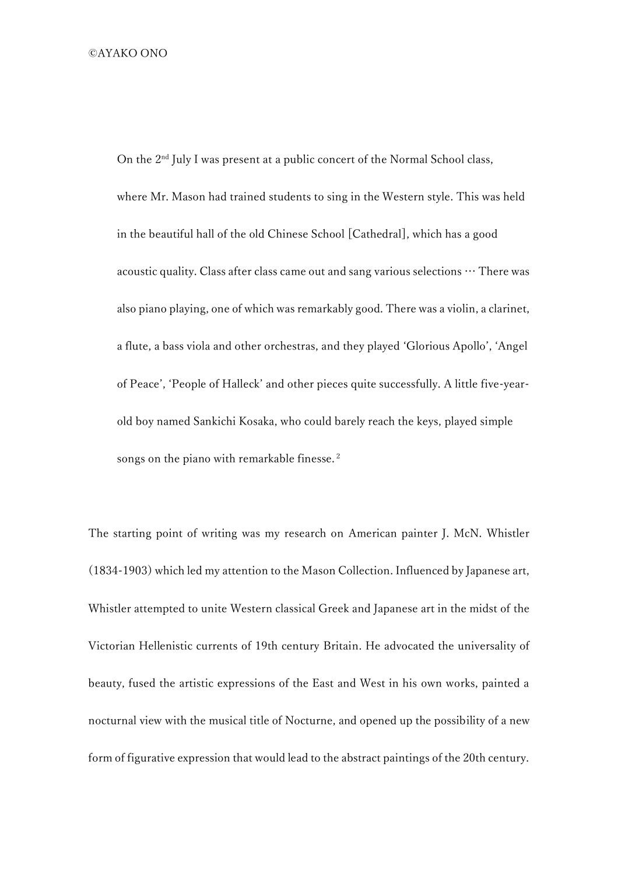On the 2<sup>nd</sup> July I was present at a public concert of the Normal School class, where Mr. Mason had trained students to sing in the Western style. This was held in the beautiful hall of the old Chinese School [Cathedral], which has a good acoustic quality. Class after class came out and sang various selections  $\cdots$  There was also piano playing, one of which was remarkably good. There was a violin, a clarinet, a flute, a bass viola and other orchestras, and they played 'Glorious Apollo', 'Angel of Peace', 'People of Halleck' and other pieces quite successfully. A little five-yearold boy named Sankichi Kosaka, who could barely reach the keys, played simple songs on the piano with remarkable finesse.<sup>2</sup>

The starting point of writing was my research on American painter J. McN. Whistler (1834-1903) which led my attention to the Mason Collection. Influenced by Japanese art, Whistler attempted to unite Western classical Greek and Japanese art in the midst of the Victorian Hellenistic currents of 19th century Britain. He advocated the universality of beauty, fused the artistic expressions of the East and West in his own works, painted a nocturnal view with the musical title of Nocturne, and opened up the possibility of a new form of figurative expression that would lead to the abstract paintings of the 20th century.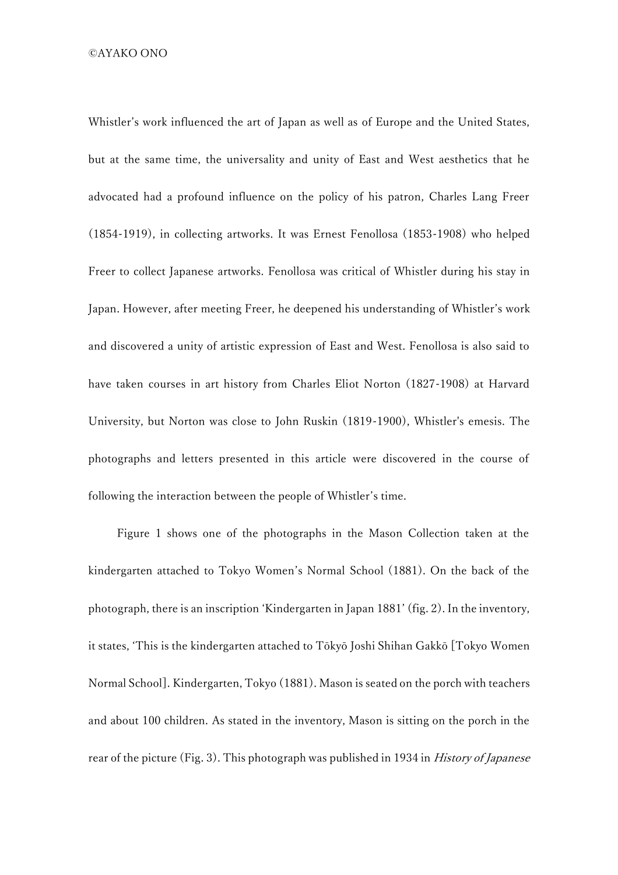©️AYAKO ONO

Whistler's work influenced the art of Japan as well as of Europe and the United States, but at the same time, the universality and unity of East and West aesthetics that he advocated had a profound influence on the policy of his patron, Charles Lang Freer (1854-1919), in collecting artworks. It was Ernest Fenollosa (1853-1908) who helped Freer to collect Japanese artworks. Fenollosa was critical of Whistler during his stay in Japan. However, after meeting Freer, he deepened his understanding of Whistler's work and discovered a unity of artistic expression of East and West. Fenollosa is also said to have taken courses in art history from Charles Eliot Norton (1827-1908) at Harvard University, but Norton was close to John Ruskin (1819-1900), Whistler's emesis. The photographs and letters presented in this article were discovered in the course of following the interaction between the people of Whistler's time.

 Figure 1 shows one of the photographs in the Mason Collection taken at the kindergarten attached to Tokyo Women's Normal School (1881). On the back of the photograph, there is an inscription 'Kindergarten in Japan 1881' (fig. 2). In the inventory, it states, 'This is the kindergarten attached to Tōkyō Joshi Shihan Gakkō [Tokyo Women Normal School]. Kindergarten, Tokyo (1881). Mason is seated on the porch with teachers and about 100 children. As stated in the inventory, Mason is sitting on the porch in the rear of the picture (Fig. 3). This photograph was published in 1934 in *History of Japanese*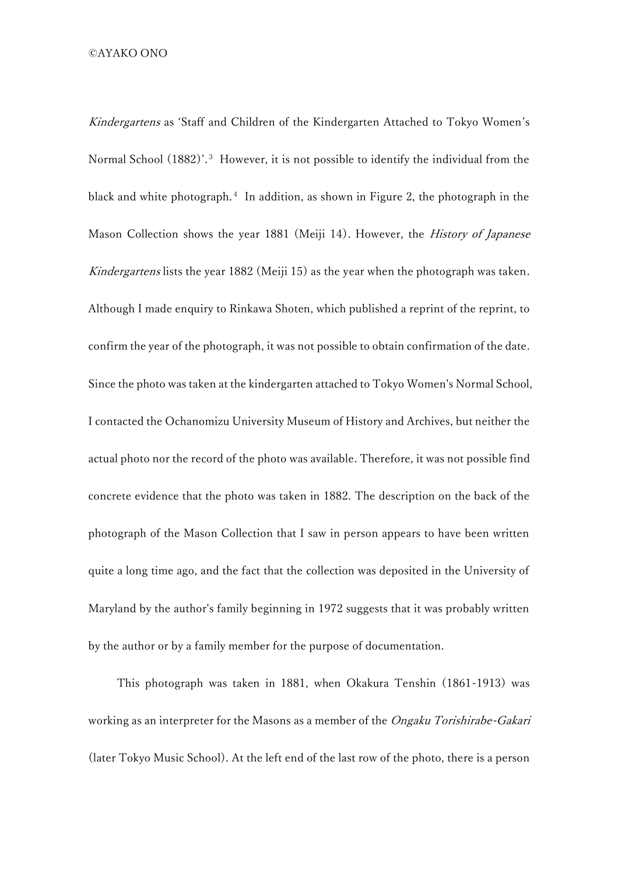Kindergartens as 'Staff and Children of the Kindergarten Attached to Tokyo Women's Normal School (1882)'.<sup>3</sup> However, it is not possible to identify the individual from the black and white photograph. <sup>4</sup> In addition, as shown in Figure 2, the photograph in the Mason Collection shows the year 1881 (Meiji 14). However, the *History of Japanese* Kindergartens lists the year 1882 (Meiji 15) as the year when the photograph was taken. Although I made enquiry to Rinkawa Shoten, which published a reprint of the reprint, to confirm the year of the photograph, it was not possible to obtain confirmation of the date. Since the photo was taken at the kindergarten attached to Tokyo Women's Normal School, I contacted the Ochanomizu University Museum of History and Archives, but neither the actual photo nor the record of the photo was available. Therefore, it was not possible find concrete evidence that the photo was taken in 1882. The description on the back of the photograph of the Mason Collection that I saw in person appears to have been written quite a long time ago, and the fact that the collection was deposited in the University of Maryland by the author's family beginning in 1972 suggests that it was probably written by the author or by a family member for the purpose of documentation.

This photograph was taken in 1881, when Okakura Tenshin (1861-1913) was working as an interpreter for the Masons as a member of the *Ongaku Torishirabe-Gakari* (later Tokyo Music School). At the left end of the last row of the photo, there is a person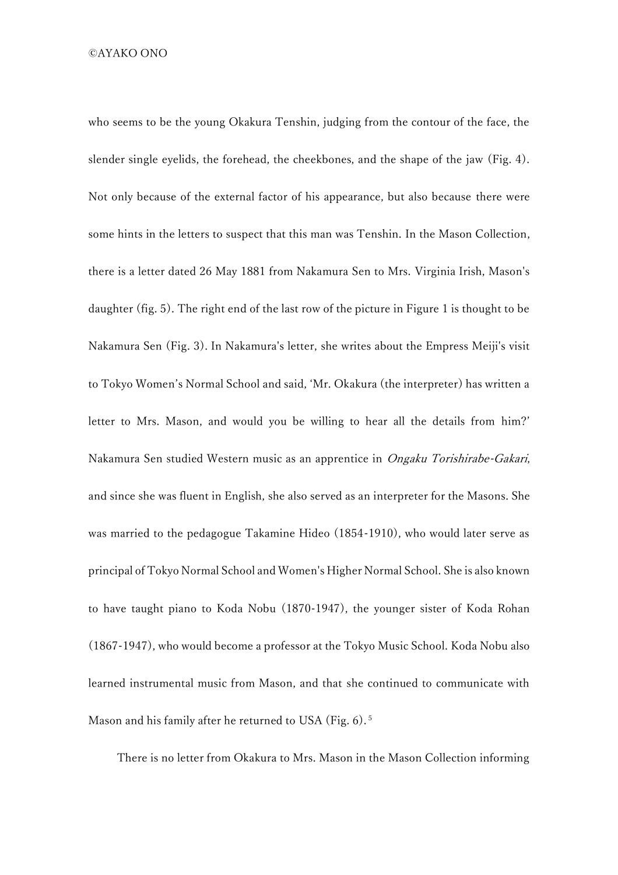©️AYAKO ONO

who seems to be the young Okakura Tenshin, judging from the contour of the face, the slender single eyelids, the forehead, the cheekbones, and the shape of the jaw (Fig. 4). Not only because of the external factor of his appearance, but also because there were some hints in the letters to suspect that this man was Tenshin. In the Mason Collection, there is a letter dated 26 May 1881 from Nakamura Sen to Mrs. Virginia Irish, Mason's daughter (fig. 5). The right end of the last row of the picture in Figure 1 is thought to be Nakamura Sen (Fig. 3). In Nakamura's letter, she writes about the Empress Meiji's visit to Tokyo Women's Normal School and said, 'Mr. Okakura (the interpreter) has written a letter to Mrs. Mason, and would you be willing to hear all the details from him?' Nakamura Sen studied Western music as an apprentice in Ongaku Torishirabe-Gakari, and since she was fluent in English, she also served as an interpreter for the Masons. She was married to the pedagogue Takamine Hideo (1854-1910), who would later serve as principal of Tokyo Normal School and Women's Higher Normal School. She is also known to have taught piano to Koda Nobu (1870-1947), the younger sister of Koda Rohan (1867-1947), who would become a professor at the Tokyo Music School. Koda Nobu also learned instrumental music from Mason, and that she continued to communicate with Mason and his family after he returned to USA (Fig. 6).<sup>5</sup>

There is no letter from Okakura to Mrs. Mason in the Mason Collection informing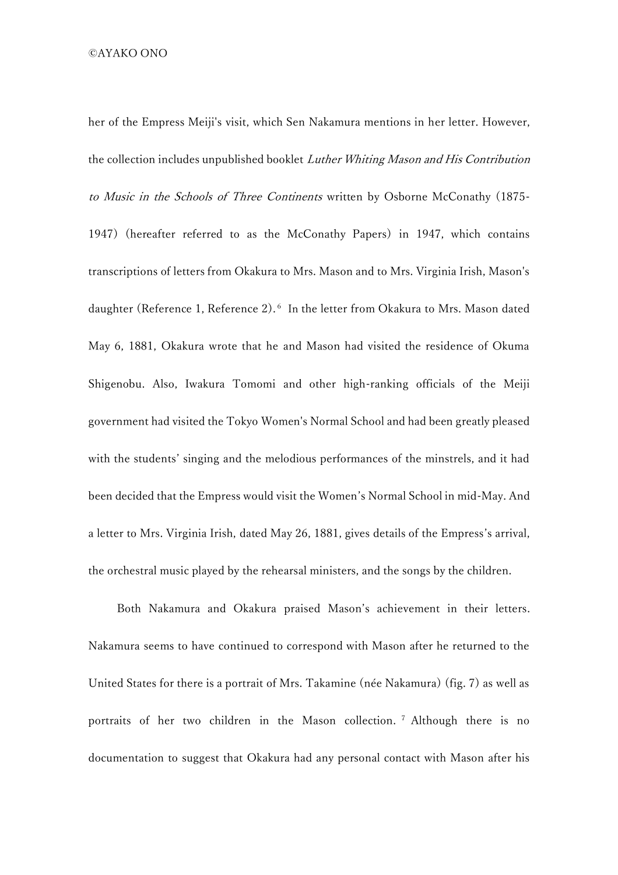her of the Empress Meiji's visit, which Sen Nakamura mentions in her letter. However, the collection includes unpublished booklet Luther Whiting Mason and His Contribution to Music in the Schools of Three Continents written by Osborne McConathy (1875- 1947) (hereafter referred to as the McConathy Papers) in 1947, which contains transcriptions of letters from Okakura to Mrs. Mason and to Mrs. Virginia Irish, Mason's daughter (Reference 1, Reference 2).<sup>6</sup> In the letter from Okakura to Mrs. Mason dated May 6, 1881, Okakura wrote that he and Mason had visited the residence of Okuma Shigenobu. Also, Iwakura Tomomi and other high-ranking officials of the Meiji government had visited the Tokyo Women's Normal School and had been greatly pleased with the students' singing and the melodious performances of the minstrels, and it had been decided that the Empress would visit the Women's Normal School in mid-May. And a letter to Mrs. Virginia Irish, dated May 26, 1881, gives details of the Empress's arrival, the orchestral music played by the rehearsal ministers, and the songs by the children.

 Both Nakamura and Okakura praised Mason's achievement in their letters. Nakamura seems to have continued to correspond with Mason after he returned to the United States for there is a portrait of Mrs. Takamine (née Nakamura) (fig. 7) as well as portraits of her two children in the Mason collection. <sup>7</sup> Although there is no documentation to suggest that Okakura had any personal contact with Mason after his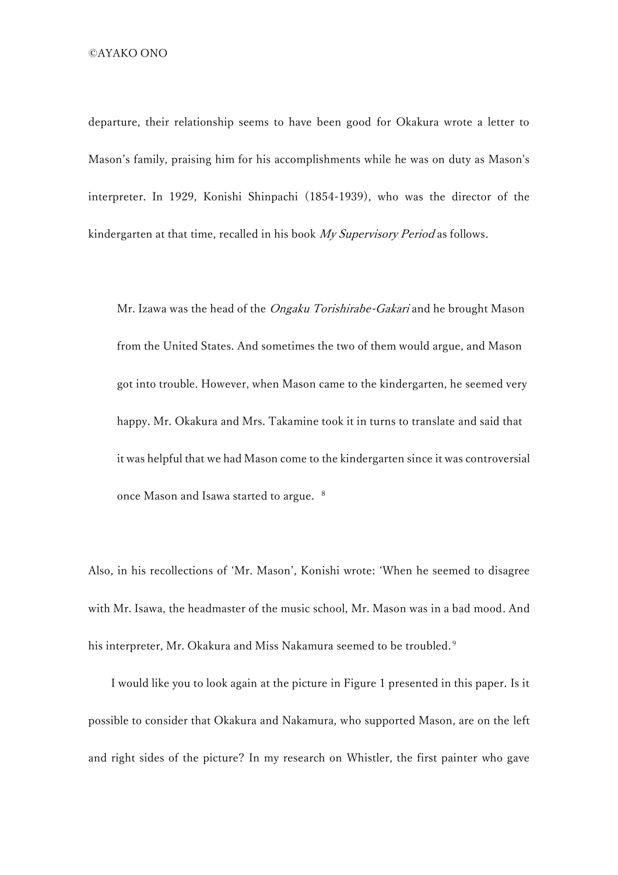departure, their relationship seems to have been good for Okakura wrote a letter to Mason's family, praising him for his accomplishments while he was on duty as Mason's interpreter. In 1929, Konishi Shinpachi (1854-1939), who was the director of the kindergarten at that time, recalled in his book My Supervisory Period as follows.

Mr. Izawa was the head of the *Ongaku Torishirabe-Gakari* and he brought Mason from the United States. And sometimes the two of them would argue, and Mason got into trouble. However, when Mason came to the kindergarten, he seemed very happy. Mr. Okakura and Mrs. Takamine took it in turns to translate and said that it was helpful that we had Mason come to the kindergarten since it was controversial once Mason and Isawa started to argue. <sup>8</sup>

Also, in his recollections of 'Mr. Mason', Konishi wrote: 'When he seemed to disagree with Mr. Isawa, the headmaster of the music school, Mr. Mason was in a bad mood. And his interpreter, Mr. Okakura and Miss Nakamura seemed to be troubled. 9

 I would like you to look again at the picture in Figure 1 presented in this paper. Is it possible to consider that Okakura and Nakamura, who supported Mason, are on the left and right sides of the picture? In my research on Whistler, the first painter who gave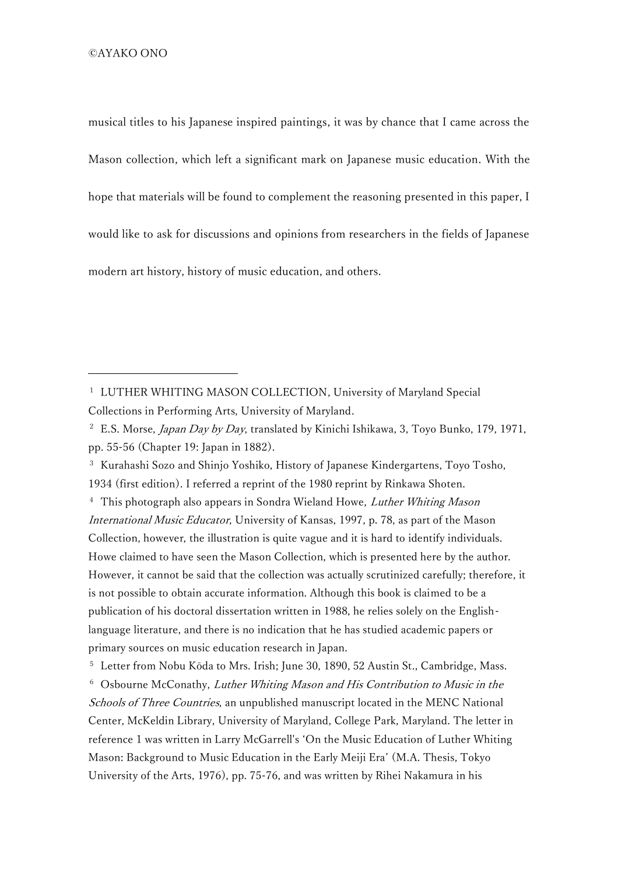musical titles to his Japanese inspired paintings, it was by chance that I came across the Mason collection, which left a significant mark on Japanese music education. With the hope that materials will be found to complement the reasoning presented in this paper, I would like to ask for discussions and opinions from researchers in the fields of Japanese modern art history, history of music education, and others.

<sup>3</sup> Kurahashi Sozo and Shinjo Yoshiko, History of Japanese Kindergartens, Toyo Tosho, 1934 (first edition). I referred a reprint of the 1980 reprint by Rinkawa Shoten.

<sup>4</sup> This photograph also appears in Sondra Wieland Howe, Luther Whiting Mason International Music Educator, University of Kansas, 1997, p. 78, as part of the Mason Collection, however, the illustration is quite vague and it is hard to identify individuals. Howe claimed to have seen the Mason Collection, which is presented here by the author. However, it cannot be said that the collection was actually scrutinized carefully; therefore, it is not possible to obtain accurate information. Although this book is claimed to be a publication of his doctoral dissertation written in 1988, he relies solely on the Englishlanguage literature, and there is no indication that he has studied academic papers or primary sources on music education research in Japan.

<sup>5</sup> Letter from Nobu Kōda to Mrs. Irish; June 30, 1890, 52 Austin St., Cambridge, Mass.

<sup>6</sup> Osbourne McConathy, Luther Whiting Mason and His Contribution to Music in the Schools of Three Countries, an unpublished manuscript located in the MENC National Center, McKeldin Library, University of Maryland, College Park, Maryland. The letter in reference 1 was written in Larry McGarrell's 'On the Music Education of Luther Whiting Mason: Background to Music Education in the Early Meiji Era' (M.A. Thesis, Tokyo University of the Arts, 1976), pp. 75-76, and was written by Rihei Nakamura in his

<sup>&</sup>lt;sup>1</sup> LUTHER WHITING MASON COLLECTION, University of Maryland Special Collections in Performing Arts, University of Maryland.

<sup>&</sup>lt;sup>2</sup> E.S. Morse, Japan Day by Day, translated by Kinichi Ishikawa, 3, Toyo Bunko, 179, 1971, pp. 55-56 (Chapter 19: Japan in 1882).